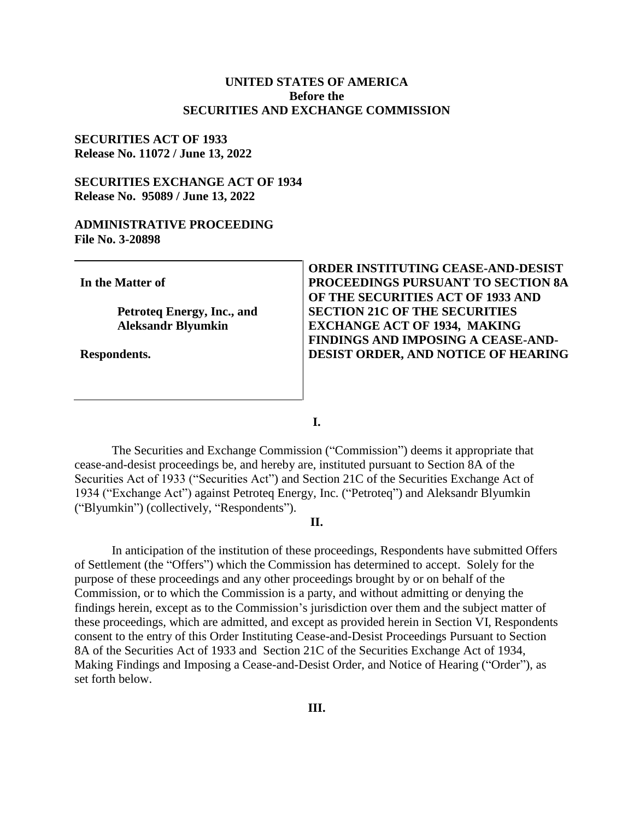#### **UNITED STATES OF AMERICA Before the SECURITIES AND EXCHANGE COMMISSION**

#### **SECURITIES ACT OF 1933 Release No. 11072 / June 13, 2022**

### **SECURITIES EXCHANGE ACT OF 1934 Release No. 95089 / June 13, 2022**

#### **ADMINISTRATIVE PROCEEDING File No. 3-20898**

**In the Matter of**

**Petroteq Energy, Inc., and Aleksandr Blyumkin** 

**Respondents.**

**ORDER INSTITUTING CEASE-AND-DESIST PROCEEDINGS PURSUANT TO SECTION 8A OF THE SECURITIES ACT OF 1933 AND SECTION 21C OF THE SECURITIES EXCHANGE ACT OF 1934, MAKING FINDINGS AND IMPOSING A CEASE-AND-DESIST ORDER, AND NOTICE OF HEARING**

**I.**

The Securities and Exchange Commission ("Commission") deems it appropriate that cease-and-desist proceedings be, and hereby are, instituted pursuant to Section 8A of the Securities Act of 1933 ("Securities Act") and Section 21C of the Securities Exchange Act of 1934 ("Exchange Act") against Petroteq Energy, Inc. ("Petroteq") and Aleksandr Blyumkin ("Blyumkin") (collectively, "Respondents").

#### **II.**

In anticipation of the institution of these proceedings, Respondents have submitted Offers of Settlement (the "Offers") which the Commission has determined to accept. Solely for the purpose of these proceedings and any other proceedings brought by or on behalf of the Commission, or to which the Commission is a party, and without admitting or denying the findings herein, except as to the Commission's jurisdiction over them and the subject matter of these proceedings, which are admitted, and except as provided herein in Section VI, Respondents consent to the entry of this Order Instituting Cease-and-Desist Proceedings Pursuant to Section 8A of the Securities Act of 1933 and Section 21C of the Securities Exchange Act of 1934, Making Findings and Imposing a Cease-and-Desist Order, and Notice of Hearing ("Order"), as set forth below.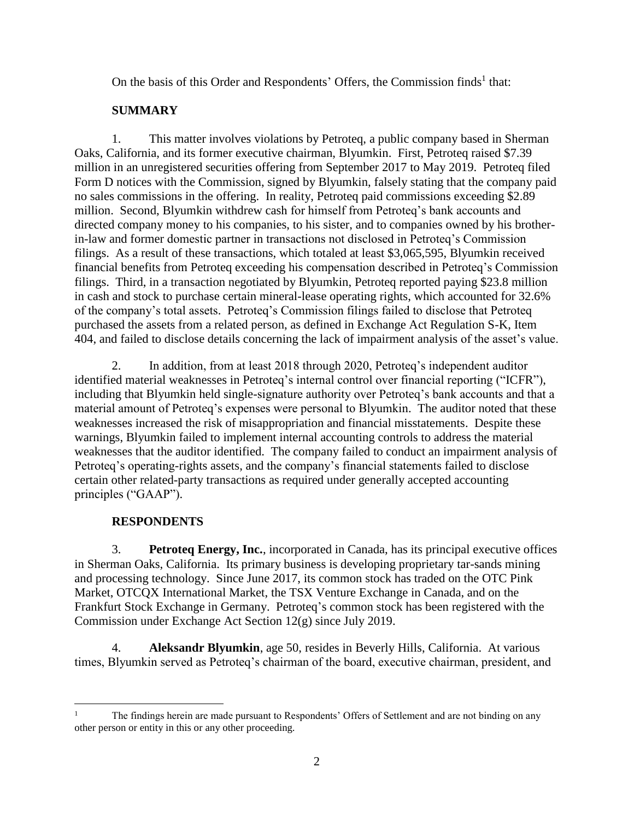On the basis of this Order and Respondents' Offers, the Commission finds<sup>1</sup> that:

# **SUMMARY**

1. This matter involves violations by Petroteq, a public company based in Sherman Oaks, California, and its former executive chairman, Blyumkin. First, Petroteq raised \$7.39 million in an unregistered securities offering from September 2017 to May 2019. Petroteq filed Form D notices with the Commission, signed by Blyumkin, falsely stating that the company paid no sales commissions in the offering. In reality, Petroteq paid commissions exceeding \$2.89 million. Second, Blyumkin withdrew cash for himself from Petroteq's bank accounts and directed company money to his companies, to his sister, and to companies owned by his brotherin-law and former domestic partner in transactions not disclosed in Petroteq's Commission filings. As a result of these transactions, which totaled at least \$3,065,595, Blyumkin received financial benefits from Petroteq exceeding his compensation described in Petroteq's Commission filings. Third, in a transaction negotiated by Blyumkin, Petroteq reported paying \$23.8 million in cash and stock to purchase certain mineral-lease operating rights, which accounted for 32.6% of the company's total assets. Petroteq's Commission filings failed to disclose that Petroteq purchased the assets from a related person, as defined in Exchange Act Regulation S-K, Item 404, and failed to disclose details concerning the lack of impairment analysis of the asset's value.

2. In addition, from at least 2018 through 2020, Petroteq's independent auditor identified material weaknesses in Petroteq's internal control over financial reporting ("ICFR"), including that Blyumkin held single-signature authority over Petroteq's bank accounts and that a material amount of Petroteq's expenses were personal to Blyumkin. The auditor noted that these weaknesses increased the risk of misappropriation and financial misstatements. Despite these warnings, Blyumkin failed to implement internal accounting controls to address the material weaknesses that the auditor identified. The company failed to conduct an impairment analysis of Petroteq's operating-rights assets, and the company's financial statements failed to disclose certain other related-party transactions as required under generally accepted accounting principles ("GAAP").

# **RESPONDENTS**

3. **Petroteq Energy, Inc.**, incorporated in Canada, has its principal executive offices in Sherman Oaks, California. Its primary business is developing proprietary tar-sands mining and processing technology. Since June 2017, its common stock has traded on the OTC Pink Market, OTCQX International Market, the TSX Venture Exchange in Canada, and on the Frankfurt Stock Exchange in Germany. Petroteq's common stock has been registered with the Commission under Exchange Act Section 12(g) since July 2019.

4. **Aleksandr Blyumkin**, age 50, resides in Beverly Hills, California. At various times, Blyumkin served as Petroteq's chairman of the board, executive chairman, president, and

 $\overline{a}$ <sup>1</sup> The findings herein are made pursuant to Respondents' Offers of Settlement and are not binding on any other person or entity in this or any other proceeding.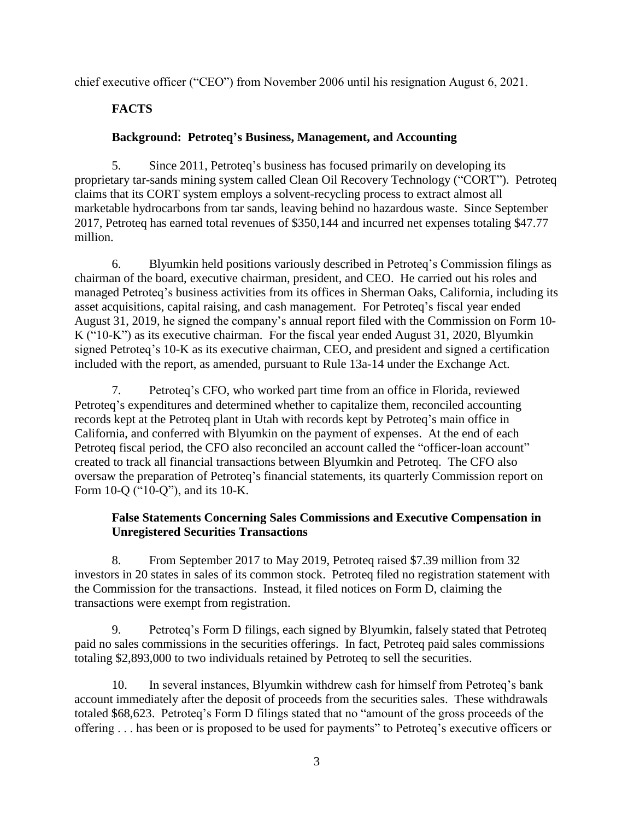chief executive officer ("CEO") from November 2006 until his resignation August 6, 2021.

# **FACTS**

# **Background: Petroteq's Business, Management, and Accounting**

5. Since 2011, Petroteq's business has focused primarily on developing its proprietary tar-sands mining system called Clean Oil Recovery Technology ("CORT"). Petroteq claims that its CORT system employs a solvent-recycling process to extract almost all marketable hydrocarbons from tar sands, leaving behind no hazardous waste. Since September 2017, Petroteq has earned total revenues of \$350,144 and incurred net expenses totaling \$47.77 million.

6. Blyumkin held positions variously described in Petroteq's Commission filings as chairman of the board, executive chairman, president, and CEO. He carried out his roles and managed Petroteq's business activities from its offices in Sherman Oaks, California, including its asset acquisitions, capital raising, and cash management. For Petroteq's fiscal year ended August 31, 2019, he signed the company's annual report filed with the Commission on Form 10- K ("10-K") as its executive chairman. For the fiscal year ended August 31, 2020, Blyumkin signed Petroteq's 10-K as its executive chairman, CEO, and president and signed a certification included with the report, as amended, pursuant to Rule 13a-14 under the Exchange Act.

7. Petroteq's CFO, who worked part time from an office in Florida, reviewed Petroteq's expenditures and determined whether to capitalize them, reconciled accounting records kept at the Petroteq plant in Utah with records kept by Petroteq's main office in California, and conferred with Blyumkin on the payment of expenses. At the end of each Petroteq fiscal period, the CFO also reconciled an account called the "officer-loan account" created to track all financial transactions between Blyumkin and Petroteq. The CFO also oversaw the preparation of Petroteq's financial statements, its quarterly Commission report on Form 10-Q ("10-Q"), and its 10-K.

# **False Statements Concerning Sales Commissions and Executive Compensation in Unregistered Securities Transactions**

8. From September 2017 to May 2019, Petroteq raised \$7.39 million from 32 investors in 20 states in sales of its common stock. Petroteq filed no registration statement with the Commission for the transactions. Instead, it filed notices on Form D, claiming the transactions were exempt from registration.

9. Petroteq's Form D filings, each signed by Blyumkin, falsely stated that Petroteq paid no sales commissions in the securities offerings. In fact, Petroteq paid sales commissions totaling \$2,893,000 to two individuals retained by Petroteq to sell the securities.

10. In several instances, Blyumkin withdrew cash for himself from Petroteq's bank account immediately after the deposit of proceeds from the securities sales. These withdrawals totaled \$68,623. Petroteq's Form D filings stated that no "amount of the gross proceeds of the offering . . . has been or is proposed to be used for payments" to Petroteq's executive officers or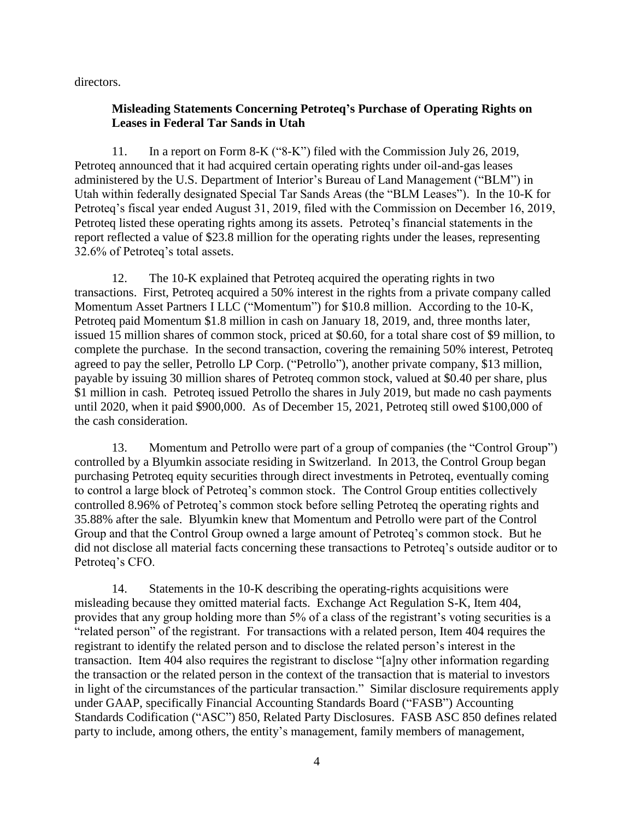directors.

# **Misleading Statements Concerning Petroteq's Purchase of Operating Rights on Leases in Federal Tar Sands in Utah**

11. In a report on Form 8-K ("8-K") filed with the Commission July 26, 2019, Petroteq announced that it had acquired certain operating rights under oil-and-gas leases administered by the U.S. Department of Interior's Bureau of Land Management ("BLM") in Utah within federally designated Special Tar Sands Areas (the "BLM Leases"). In the 10-K for Petroteq's fiscal year ended August 31, 2019, filed with the Commission on December 16, 2019, Petroteq listed these operating rights among its assets. Petroteq's financial statements in the report reflected a value of \$23.8 million for the operating rights under the leases, representing 32.6% of Petroteq's total assets.

12. The 10-K explained that Petroteq acquired the operating rights in two transactions. First, Petroteq acquired a 50% interest in the rights from a private company called Momentum Asset Partners I LLC ("Momentum") for \$10.8 million. According to the 10-K, Petroteq paid Momentum \$1.8 million in cash on January 18, 2019, and, three months later, issued 15 million shares of common stock, priced at \$0.60, for a total share cost of \$9 million, to complete the purchase. In the second transaction, covering the remaining 50% interest, Petroteq agreed to pay the seller, Petrollo LP Corp. ("Petrollo"), another private company, \$13 million, payable by issuing 30 million shares of Petroteq common stock, valued at \$0.40 per share, plus \$1 million in cash. Petroteq issued Petrollo the shares in July 2019, but made no cash payments until 2020, when it paid \$900,000. As of December 15, 2021, Petroteq still owed \$100,000 of the cash consideration.

13. Momentum and Petrollo were part of a group of companies (the "Control Group") controlled by a Blyumkin associate residing in Switzerland. In 2013, the Control Group began purchasing Petroteq equity securities through direct investments in Petroteq, eventually coming to control a large block of Petroteq's common stock. The Control Group entities collectively controlled 8.96% of Petroteq's common stock before selling Petroteq the operating rights and 35.88% after the sale. Blyumkin knew that Momentum and Petrollo were part of the Control Group and that the Control Group owned a large amount of Petroteq's common stock. But he did not disclose all material facts concerning these transactions to Petroteq's outside auditor or to Petroteq's CFO.

14. Statements in the 10-K describing the operating-rights acquisitions were misleading because they omitted material facts. Exchange Act Regulation S-K, Item 404, provides that any group holding more than 5% of a class of the registrant's voting securities is a "related person" of the registrant. For transactions with a related person, Item 404 requires the registrant to identify the related person and to disclose the related person's interest in the transaction. Item 404 also requires the registrant to disclose "[a]ny other information regarding the transaction or the related person in the context of the transaction that is material to investors in light of the circumstances of the particular transaction." Similar disclosure requirements apply under GAAP, specifically Financial Accounting Standards Board ("FASB") Accounting Standards Codification ("ASC") 850, Related Party Disclosures. FASB ASC 850 defines related party to include, among others, the entity's management, family members of management,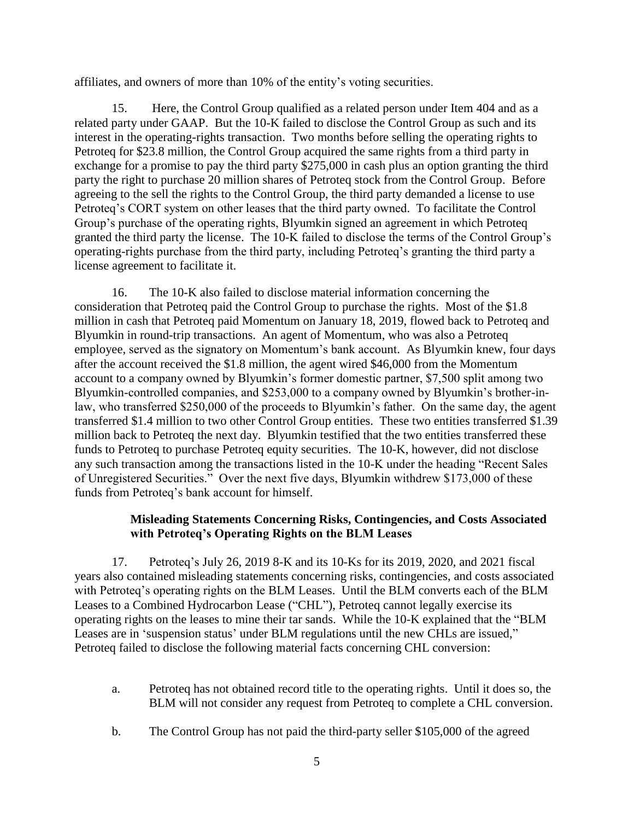affiliates, and owners of more than 10% of the entity's voting securities.

15. Here, the Control Group qualified as a related person under Item 404 and as a related party under GAAP. But the 10-K failed to disclose the Control Group as such and its interest in the operating-rights transaction. Two months before selling the operating rights to Petroteq for \$23.8 million, the Control Group acquired the same rights from a third party in exchange for a promise to pay the third party \$275,000 in cash plus an option granting the third party the right to purchase 20 million shares of Petroteq stock from the Control Group. Before agreeing to the sell the rights to the Control Group, the third party demanded a license to use Petroteq's CORT system on other leases that the third party owned. To facilitate the Control Group's purchase of the operating rights, Blyumkin signed an agreement in which Petroteq granted the third party the license. The 10-K failed to disclose the terms of the Control Group's operating-rights purchase from the third party, including Petroteq's granting the third party a license agreement to facilitate it.

16. The 10-K also failed to disclose material information concerning the consideration that Petroteq paid the Control Group to purchase the rights. Most of the \$1.8 million in cash that Petroteq paid Momentum on January 18, 2019, flowed back to Petroteq and Blyumkin in round-trip transactions. An agent of Momentum, who was also a Petroteq employee, served as the signatory on Momentum's bank account. As Blyumkin knew, four days after the account received the \$1.8 million, the agent wired \$46,000 from the Momentum account to a company owned by Blyumkin's former domestic partner, \$7,500 split among two Blyumkin-controlled companies, and \$253,000 to a company owned by Blyumkin's brother-inlaw, who transferred \$250,000 of the proceeds to Blyumkin's father. On the same day, the agent transferred \$1.4 million to two other Control Group entities. These two entities transferred \$1.39 million back to Petroteq the next day. Blyumkin testified that the two entities transferred these funds to Petroteq to purchase Petroteq equity securities. The 10-K, however, did not disclose any such transaction among the transactions listed in the 10-K under the heading "Recent Sales of Unregistered Securities." Over the next five days, Blyumkin withdrew \$173,000 of these funds from Petroteq's bank account for himself.

### **Misleading Statements Concerning Risks, Contingencies, and Costs Associated with Petroteq's Operating Rights on the BLM Leases**

17. Petroteq's July 26, 2019 8-K and its 10-Ks for its 2019, 2020, and 2021 fiscal years also contained misleading statements concerning risks, contingencies, and costs associated with Petroteq's operating rights on the BLM Leases. Until the BLM converts each of the BLM Leases to a Combined Hydrocarbon Lease ("CHL"), Petroteq cannot legally exercise its operating rights on the leases to mine their tar sands. While the 10-K explained that the "BLM Leases are in 'suspension status' under BLM regulations until the new CHLs are issued," Petroteq failed to disclose the following material facts concerning CHL conversion:

- a. Petroteq has not obtained record title to the operating rights. Until it does so, the BLM will not consider any request from Petroteq to complete a CHL conversion.
- b. The Control Group has not paid the third-party seller \$105,000 of the agreed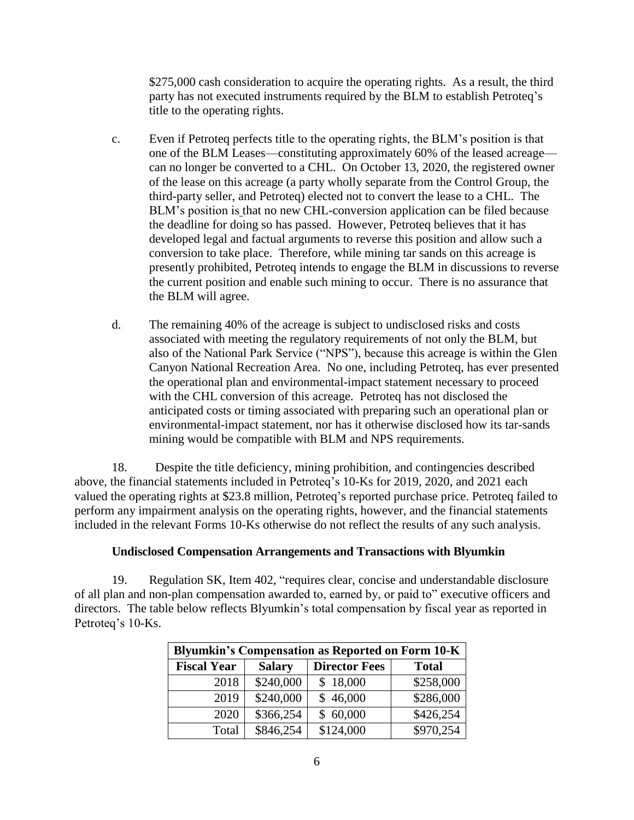\$275,000 cash consideration to acquire the operating rights. As a result, the third party has not executed instruments required by the BLM to establish Petroteq's title to the operating rights.

- c. Even if Petroteq perfects title to the operating rights, the BLM's position is that one of the BLM Leases—constituting approximately 60% of the leased acreage can no longer be converted to a CHL. On October 13, 2020, the registered owner of the lease on this acreage (a party wholly separate from the Control Group, the third-party seller, and Petroteq) elected not to convert the lease to a CHL. The BLM's position is that no new CHL-conversion application can be filed because the deadline for doing so has passed. However, Petroteq believes that it has developed legal and factual arguments to reverse this position and allow such a conversion to take place. Therefore, while mining tar sands on this acreage is presently prohibited, Petroteq intends to engage the BLM in discussions to reverse the current position and enable such mining to occur. There is no assurance that the BLM will agree.
- d. The remaining 40% of the acreage is subject to undisclosed risks and costs associated with meeting the regulatory requirements of not only the BLM, but also of the National Park Service ("NPS"), because this acreage is within the Glen Canyon National Recreation Area. No one, including Petroteq, has ever presented the operational plan and environmental-impact statement necessary to proceed with the CHL conversion of this acreage. Petroteq has not disclosed the anticipated costs or timing associated with preparing such an operational plan or environmental-impact statement, nor has it otherwise disclosed how its tar-sands mining would be compatible with BLM and NPS requirements.

18. Despite the title deficiency, mining prohibition, and contingencies described above, the financial statements included in Petroteq's 10-Ks for 2019, 2020, and 2021 each valued the operating rights at \$23.8 million, Petroteq's reported purchase price. Petroteq failed to perform any impairment analysis on the operating rights, however, and the financial statements included in the relevant Forms 10-Ks otherwise do not reflect the results of any such analysis.

#### **Undisclosed Compensation Arrangements and Transactions with Blyumkin**

19. Regulation SK, Item 402, "requires clear, concise and understandable disclosure of all plan and non-plan compensation awarded to, earned by, or paid to" executive officers and directors. The table below reflects Blyumkin's total compensation by fiscal year as reported in Petroteq's 10-Ks.

| <b>Blyumkin's Compensation as Reported on Form 10-K</b> |               |                      |              |  |
|---------------------------------------------------------|---------------|----------------------|--------------|--|
| <b>Fiscal Year</b>                                      | <b>Salary</b> | <b>Director Fees</b> | <b>Total</b> |  |
| 2018                                                    | \$240,000     | \$18,000             | \$258,000    |  |
| 2019                                                    | \$240,000     | \$46,000             | \$286,000    |  |
| 2020                                                    | \$366,254     | \$60,000             | \$426,254    |  |
| Total                                                   | \$846,254     | \$124,000            | \$970,254    |  |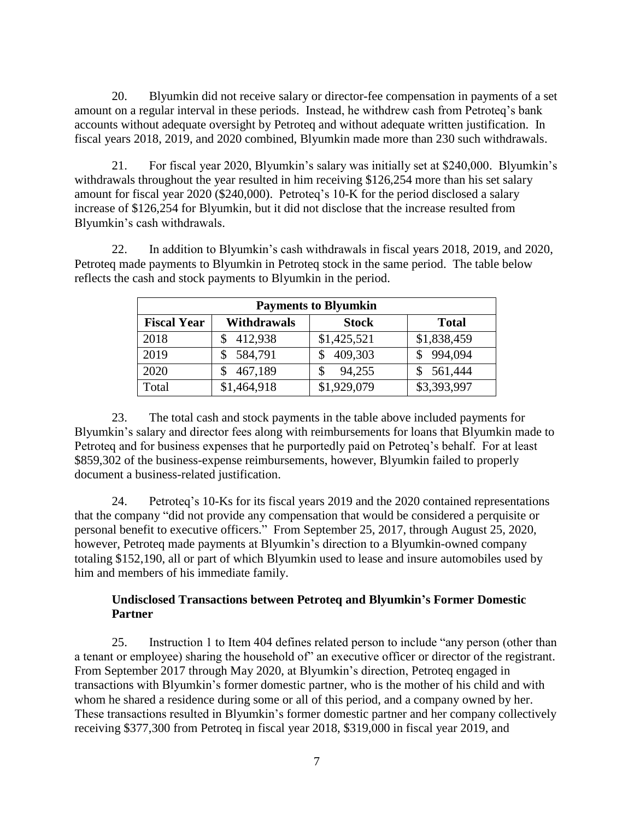20. Blyumkin did not receive salary or director-fee compensation in payments of a set amount on a regular interval in these periods. Instead, he withdrew cash from Petroteq's bank accounts without adequate oversight by Petroteq and without adequate written justification. In fiscal years 2018, 2019, and 2020 combined, Blyumkin made more than 230 such withdrawals.

21. For fiscal year 2020, Blyumkin's salary was initially set at \$240,000. Blyumkin's withdrawals throughout the year resulted in him receiving \$126,254 more than his set salary amount for fiscal year 2020 (\$240,000). Petroteq's 10-K for the period disclosed a salary increase of \$126,254 for Blyumkin, but it did not disclose that the increase resulted from Blyumkin's cash withdrawals.

22. In addition to Blyumkin's cash withdrawals in fiscal years 2018, 2019, and 2020, Petroteq made payments to Blyumkin in Petroteq stock in the same period. The table below reflects the cash and stock payments to Blyumkin in the period.

| <b>Payments to Blyumkin</b> |                    |              |              |  |
|-----------------------------|--------------------|--------------|--------------|--|
| <b>Fiscal Year</b>          | <b>Withdrawals</b> | <b>Stock</b> | <b>Total</b> |  |
| 2018                        | 412,938            | \$1,425,521  | \$1,838,459  |  |
| 2019                        | 584,791            | 409,303      | 994,094      |  |
| 2020                        | 467,189            | 94,255<br>S  | 561,444      |  |
| Total                       | \$1,464,918        | \$1,929,079  | \$3,393,997  |  |

23. The total cash and stock payments in the table above included payments for Blyumkin's salary and director fees along with reimbursements for loans that Blyumkin made to Petroteq and for business expenses that he purportedly paid on Petroteq's behalf. For at least \$859,302 of the business-expense reimbursements, however, Blyumkin failed to properly document a business-related justification.

24. Petroteq's 10-Ks for its fiscal years 2019 and the 2020 contained representations that the company "did not provide any compensation that would be considered a perquisite or personal benefit to executive officers." From September 25, 2017, through August 25, 2020, however, Petroteq made payments at Blyumkin's direction to a Blyumkin-owned company totaling \$152,190, all or part of which Blyumkin used to lease and insure automobiles used by him and members of his immediate family.

### **Undisclosed Transactions between Petroteq and Blyumkin's Former Domestic Partner**

25. Instruction 1 to Item 404 defines related person to include "any person (other than a tenant or employee) sharing the household of" an executive officer or director of the registrant. From September 2017 through May 2020, at Blyumkin's direction, Petroteq engaged in transactions with Blyumkin's former domestic partner, who is the mother of his child and with whom he shared a residence during some or all of this period, and a company owned by her. These transactions resulted in Blyumkin's former domestic partner and her company collectively receiving \$377,300 from Petroteq in fiscal year 2018, \$319,000 in fiscal year 2019, and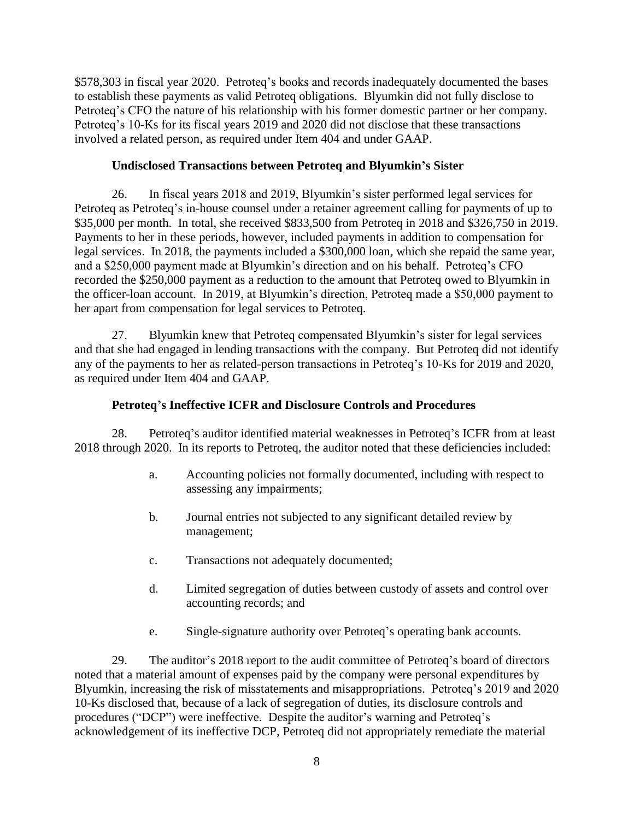\$578,303 in fiscal year 2020. Petroteq's books and records inadequately documented the bases to establish these payments as valid Petroteq obligations. Blyumkin did not fully disclose to Petroteq's CFO the nature of his relationship with his former domestic partner or her company. Petroteq's 10-Ks for its fiscal years 2019 and 2020 did not disclose that these transactions involved a related person, as required under Item 404 and under GAAP.

### **Undisclosed Transactions between Petroteq and Blyumkin's Sister**

26. In fiscal years 2018 and 2019, Blyumkin's sister performed legal services for Petroteq as Petroteq's in-house counsel under a retainer agreement calling for payments of up to \$35,000 per month. In total, she received \$833,500 from Petroteg in 2018 and \$326,750 in 2019. Payments to her in these periods, however, included payments in addition to compensation for legal services. In 2018, the payments included a \$300,000 loan, which she repaid the same year, and a \$250,000 payment made at Blyumkin's direction and on his behalf. Petroteq's CFO recorded the \$250,000 payment as a reduction to the amount that Petroteq owed to Blyumkin in the officer-loan account. In 2019, at Blyumkin's direction, Petroteq made a \$50,000 payment to her apart from compensation for legal services to Petroteq.

27. Blyumkin knew that Petroteq compensated Blyumkin's sister for legal services and that she had engaged in lending transactions with the company. But Petroteq did not identify any of the payments to her as related-person transactions in Petroteq's 10-Ks for 2019 and 2020, as required under Item 404 and GAAP.

### **Petroteq's Ineffective ICFR and Disclosure Controls and Procedures**

28. Petroteq's auditor identified material weaknesses in Petroteq's ICFR from at least 2018 through 2020. In its reports to Petroteq, the auditor noted that these deficiencies included:

- a. Accounting policies not formally documented, including with respect to assessing any impairments;
- b. Journal entries not subjected to any significant detailed review by management;
- c. Transactions not adequately documented;
- d. Limited segregation of duties between custody of assets and control over accounting records; and
- e. Single-signature authority over Petroteq's operating bank accounts.

29. The auditor's 2018 report to the audit committee of Petroteq's board of directors noted that a material amount of expenses paid by the company were personal expenditures by Blyumkin, increasing the risk of misstatements and misappropriations. Petroteq's 2019 and 2020 10-Ks disclosed that, because of a lack of segregation of duties, its disclosure controls and procedures ("DCP") were ineffective. Despite the auditor's warning and Petroteq's acknowledgement of its ineffective DCP, Petroteq did not appropriately remediate the material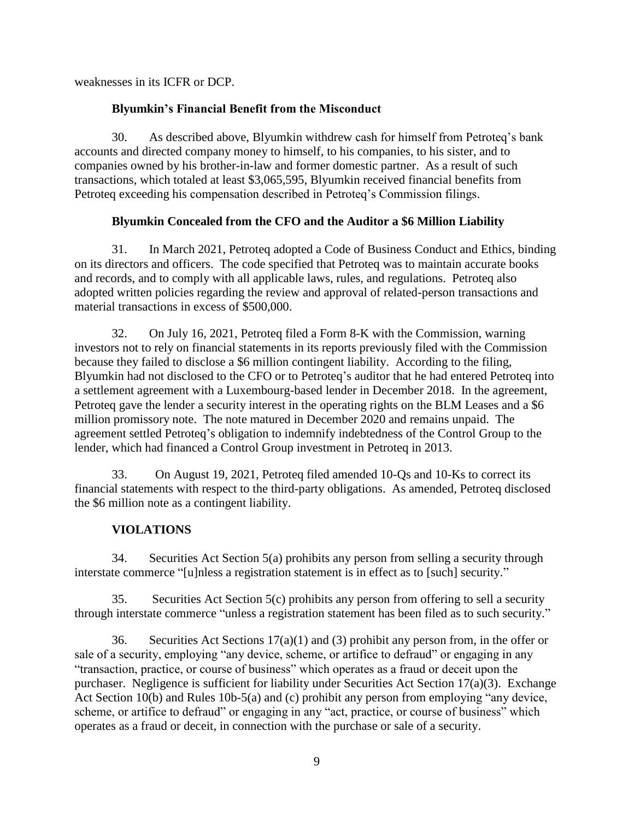weaknesses in its ICFR or DCP.

# **Blyumkin's Financial Benefit from the Misconduct**

30. As described above, Blyumkin withdrew cash for himself from Petroteq's bank accounts and directed company money to himself, to his companies, to his sister, and to companies owned by his brother-in-law and former domestic partner. As a result of such transactions, which totaled at least \$3,065,595, Blyumkin received financial benefits from Petroteq exceeding his compensation described in Petroteq's Commission filings.

# **Blyumkin Concealed from the CFO and the Auditor a \$6 Million Liability**

31. In March 2021, Petroteq adopted a Code of Business Conduct and Ethics, binding on its directors and officers. The code specified that Petroteq was to maintain accurate books and records, and to comply with all applicable laws, rules, and regulations. Petroteq also adopted written policies regarding the review and approval of related-person transactions and material transactions in excess of \$500,000.

32. On July 16, 2021, Petroteq filed a Form 8-K with the Commission, warning investors not to rely on financial statements in its reports previously filed with the Commission because they failed to disclose a \$6 million contingent liability. According to the filing, Blyumkin had not disclosed to the CFO or to Petroteq's auditor that he had entered Petroteq into a settlement agreement with a Luxembourg-based lender in December 2018. In the agreement, Petroteq gave the lender a security interest in the operating rights on the BLM Leases and a \$6 million promissory note. The note matured in December 2020 and remains unpaid. The agreement settled Petroteq's obligation to indemnify indebtedness of the Control Group to the lender, which had financed a Control Group investment in Petroteq in 2013.

33. On August 19, 2021, Petroteq filed amended 10-Qs and 10-Ks to correct its financial statements with respect to the third-party obligations. As amended, Petroteq disclosed the \$6 million note as a contingent liability.

# **VIOLATIONS**

34. Securities Act Section 5(a) prohibits any person from selling a security through interstate commerce "[u]nless a registration statement is in effect as to [such] security."

35. Securities Act Section 5(c) prohibits any person from offering to sell a security through interstate commerce "unless a registration statement has been filed as to such security."

36. Securities Act Sections 17(a)(1) and (3) prohibit any person from, in the offer or sale of a security, employing "any device, scheme, or artifice to defraud" or engaging in any "transaction, practice, or course of business" which operates as a fraud or deceit upon the purchaser. Negligence is sufficient for liability under Securities Act Section 17(a)(3). Exchange Act Section 10(b) and Rules 10b-5(a) and (c) prohibit any person from employing "any device, scheme, or artifice to defraud" or engaging in any "act, practice, or course of business" which operates as a fraud or deceit, in connection with the purchase or sale of a security.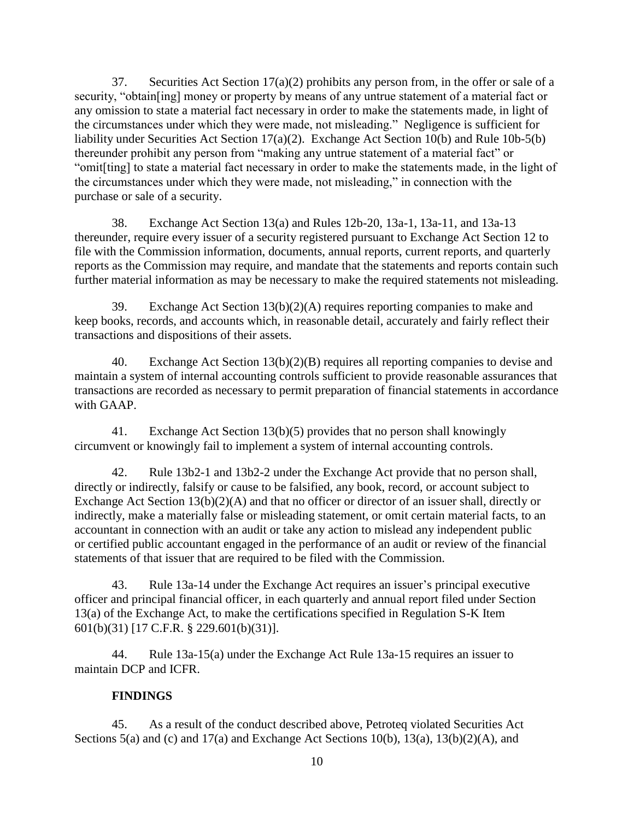37. Securities Act Section  $17(a)(2)$  prohibits any person from, in the offer or sale of a security, "obtain[ing] money or property by means of any untrue statement of a material fact or any omission to state a material fact necessary in order to make the statements made, in light of the circumstances under which they were made, not misleading." Negligence is sufficient for liability under Securities Act Section 17(a)(2). Exchange Act Section 10(b) and Rule 10b-5(b) thereunder prohibit any person from "making any untrue statement of a material fact" or "omit[ting] to state a material fact necessary in order to make the statements made, in the light of the circumstances under which they were made, not misleading," in connection with the purchase or sale of a security.

38. Exchange Act Section 13(a) and Rules 12b-20, 13a-1, 13a-11, and 13a-13 thereunder, require every issuer of a security registered pursuant to Exchange Act Section 12 to file with the Commission information, documents, annual reports, current reports, and quarterly reports as the Commission may require, and mandate that the statements and reports contain such further material information as may be necessary to make the required statements not misleading.

39. Exchange Act Section 13(b)(2)(A) requires reporting companies to make and keep books, records, and accounts which, in reasonable detail, accurately and fairly reflect their transactions and dispositions of their assets.

40. Exchange Act Section 13(b)(2)(B) requires all reporting companies to devise and maintain a system of internal accounting controls sufficient to provide reasonable assurances that transactions are recorded as necessary to permit preparation of financial statements in accordance with GAAP.

41. Exchange Act Section 13(b)(5) provides that no person shall knowingly circumvent or knowingly fail to implement a system of internal accounting controls.

42. Rule 13b2-1 and 13b2-2 under the Exchange Act provide that no person shall, directly or indirectly, falsify or cause to be falsified, any book, record, or account subject to Exchange Act Section 13(b)(2)(A) and that no officer or director of an issuer shall, directly or indirectly, make a materially false or misleading statement, or omit certain material facts, to an accountant in connection with an audit or take any action to mislead any independent public or certified public accountant engaged in the performance of an audit or review of the financial statements of that issuer that are required to be filed with the Commission.

43. Rule 13a-14 under the Exchange Act requires an issuer's principal executive officer and principal financial officer, in each quarterly and annual report filed under Section 13(a) of the Exchange Act, to make the certifications specified in Regulation S-K Item 601(b)(31) [17 C.F.R. § 229.601(b)(31)].

44. Rule 13a-15(a) under the Exchange Act Rule 13a-15 requires an issuer to maintain DCP and ICFR.

# **FINDINGS**

45. As a result of the conduct described above, Petroteq violated Securities Act Sections 5(a) and (c) and 17(a) and Exchange Act Sections 10(b), 13(a), 13(b)(2)(A), and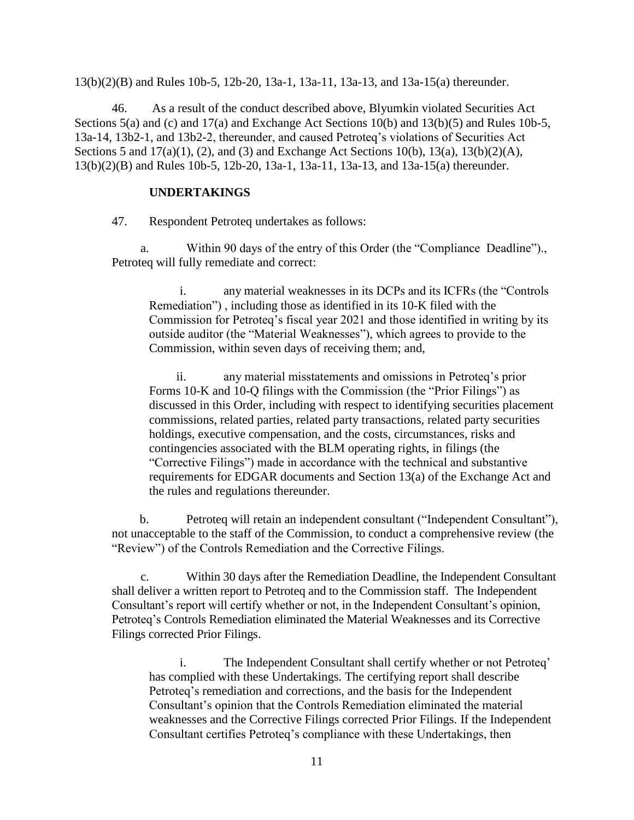13(b)(2)(B) and Rules 10b-5, 12b-20, 13a-1, 13a-11, 13a-13, and 13a-15(a) thereunder.

46. As a result of the conduct described above, Blyumkin violated Securities Act Sections 5(a) and (c) and 17(a) and Exchange Act Sections 10(b) and 13(b)(5) and Rules 10b-5, 13a-14, 13b2-1, and 13b2-2, thereunder, and caused Petroteq's violations of Securities Act Sections 5 and 17(a)(1), (2), and (3) and Exchange Act Sections 10(b), 13(a), 13(b)(2)(A), 13(b)(2)(B) and Rules 10b-5, 12b-20, 13a-1, 13a-11, 13a-13, and 13a-15(a) thereunder.

#### **UNDERTAKINGS**

47. Respondent Petroteq undertakes as follows:

a. Within 90 days of the entry of this Order (the "Compliance Deadline")., Petroteq will fully remediate and correct:

i. any material weaknesses in its DCPs and its ICFRs (the "Controls Remediation") , including those as identified in its 10-K filed with the Commission for Petroteq's fiscal year 2021 and those identified in writing by its outside auditor (the "Material Weaknesses"), which agrees to provide to the Commission, within seven days of receiving them; and,

ii. any material misstatements and omissions in Petroteq's prior Forms 10-K and 10-Q filings with the Commission (the "Prior Filings") as discussed in this Order, including with respect to identifying securities placement commissions, related parties, related party transactions, related party securities holdings, executive compensation, and the costs, circumstances, risks and contingencies associated with the BLM operating rights, in filings (the "Corrective Filings") made in accordance with the technical and substantive requirements for EDGAR documents and Section 13(a) of the Exchange Act and the rules and regulations thereunder.

b. Petroteq will retain an independent consultant ("Independent Consultant"), not unacceptable to the staff of the Commission, to conduct a comprehensive review (the "Review") of the Controls Remediation and the Corrective Filings.

c. Within 30 days after the Remediation Deadline, the Independent Consultant shall deliver a written report to Petroteq and to the Commission staff. The Independent Consultant's report will certify whether or not, in the Independent Consultant's opinion, Petroteq's Controls Remediation eliminated the Material Weaknesses and its Corrective Filings corrected Prior Filings.

i. The Independent Consultant shall certify whether or not Petroteq' has complied with these Undertakings. The certifying report shall describe Petroteq's remediation and corrections, and the basis for the Independent Consultant's opinion that the Controls Remediation eliminated the material weaknesses and the Corrective Filings corrected Prior Filings. If the Independent Consultant certifies Petroteq's compliance with these Undertakings, then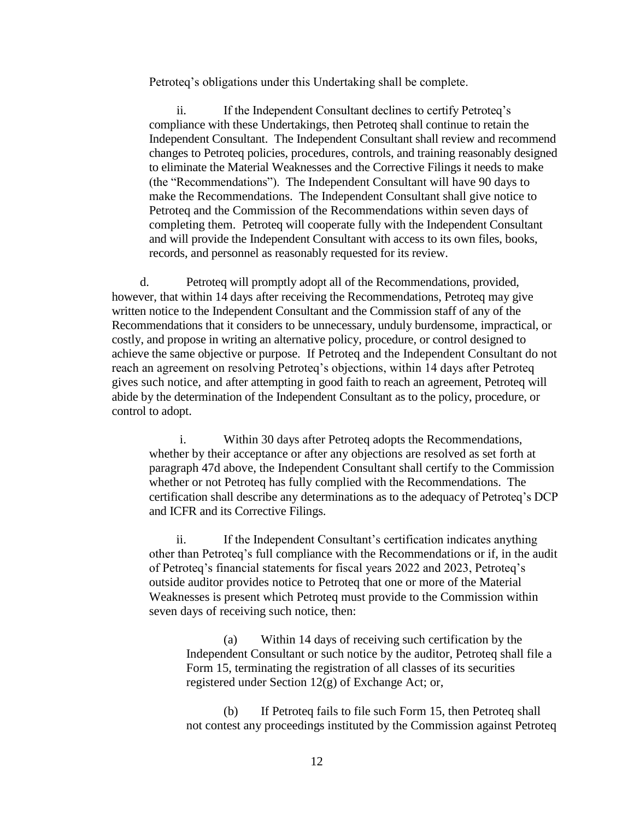Petroteq's obligations under this Undertaking shall be complete.

ii. If the Independent Consultant declines to certify Petroteq's compliance with these Undertakings, then Petroteq shall continue to retain the Independent Consultant. The Independent Consultant shall review and recommend changes to Petroteq policies, procedures, controls, and training reasonably designed to eliminate the Material Weaknesses and the Corrective Filings it needs to make (the "Recommendations"). The Independent Consultant will have 90 days to make the Recommendations. The Independent Consultant shall give notice to Petroteq and the Commission of the Recommendations within seven days of completing them. Petroteq will cooperate fully with the Independent Consultant and will provide the Independent Consultant with access to its own files, books, records, and personnel as reasonably requested for its review.

d. Petroteq will promptly adopt all of the Recommendations, provided, however, that within 14 days after receiving the Recommendations, Petroteq may give written notice to the Independent Consultant and the Commission staff of any of the Recommendations that it considers to be unnecessary, unduly burdensome, impractical, or costly, and propose in writing an alternative policy, procedure, or control designed to achieve the same objective or purpose. If Petroteq and the Independent Consultant do not reach an agreement on resolving Petroteq's objections, within 14 days after Petroteq gives such notice, and after attempting in good faith to reach an agreement, Petroteq will abide by the determination of the Independent Consultant as to the policy, procedure, or control to adopt.

i. Within 30 days after Petroteq adopts the Recommendations, whether by their acceptance or after any objections are resolved as set forth at paragraph 47d above, the Independent Consultant shall certify to the Commission whether or not Petroteq has fully complied with the Recommendations. The certification shall describe any determinations as to the adequacy of Petroteq's DCP and ICFR and its Corrective Filings.

ii. If the Independent Consultant's certification indicates anything other than Petroteq's full compliance with the Recommendations or if, in the audit of Petroteq's financial statements for fiscal years 2022 and 2023, Petroteq's outside auditor provides notice to Petroteq that one or more of the Material Weaknesses is present which Petroteq must provide to the Commission within seven days of receiving such notice, then:

(a) Within 14 days of receiving such certification by the Independent Consultant or such notice by the auditor, Petroteq shall file a Form 15, terminating the registration of all classes of its securities registered under Section 12(g) of Exchange Act; or,

(b) If Petroteq fails to file such Form 15, then Petroteq shall not contest any proceedings instituted by the Commission against Petroteq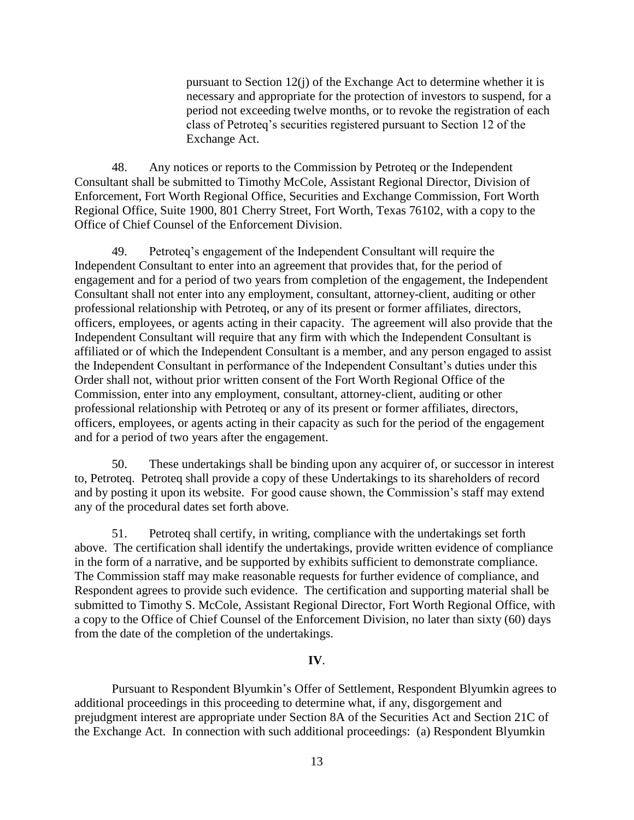pursuant to Section 12(j) of the Exchange Act to determine whether it is necessary and appropriate for the protection of investors to suspend, for a period not exceeding twelve months, or to revoke the registration of each class of Petroteq's securities registered pursuant to Section 12 of the Exchange Act.

48. Any notices or reports to the Commission by Petroteq or the Independent Consultant shall be submitted to Timothy McCole, Assistant Regional Director, Division of Enforcement, Fort Worth Regional Office, Securities and Exchange Commission, Fort Worth Regional Office, Suite 1900, 801 Cherry Street, Fort Worth, Texas 76102, with a copy to the Office of Chief Counsel of the Enforcement Division.

49. Petroteq's engagement of the Independent Consultant will require the Independent Consultant to enter into an agreement that provides that, for the period of engagement and for a period of two years from completion of the engagement, the Independent Consultant shall not enter into any employment, consultant, attorney-client, auditing or other professional relationship with Petroteq, or any of its present or former affiliates, directors, officers, employees, or agents acting in their capacity. The agreement will also provide that the Independent Consultant will require that any firm with which the Independent Consultant is affiliated or of which the Independent Consultant is a member, and any person engaged to assist the Independent Consultant in performance of the Independent Consultant's duties under this Order shall not, without prior written consent of the Fort Worth Regional Office of the Commission, enter into any employment, consultant, attorney-client, auditing or other professional relationship with Petroteq or any of its present or former affiliates, directors, officers, employees, or agents acting in their capacity as such for the period of the engagement and for a period of two years after the engagement.

50. These undertakings shall be binding upon any acquirer of, or successor in interest to, Petroteq. Petroteq shall provide a copy of these Undertakings to its shareholders of record and by posting it upon its website. For good cause shown, the Commission's staff may extend any of the procedural dates set forth above.

51. Petroteq shall certify, in writing, compliance with the undertakings set forth above. The certification shall identify the undertakings, provide written evidence of compliance in the form of a narrative, and be supported by exhibits sufficient to demonstrate compliance. The Commission staff may make reasonable requests for further evidence of compliance, and Respondent agrees to provide such evidence. The certification and supporting material shall be submitted to Timothy S. McCole, Assistant Regional Director, Fort Worth Regional Office, with a copy to the Office of Chief Counsel of the Enforcement Division, no later than sixty (60) days from the date of the completion of the undertakings.

#### **IV**.

Pursuant to Respondent Blyumkin's Offer of Settlement, Respondent Blyumkin agrees to additional proceedings in this proceeding to determine what, if any, disgorgement and prejudgment interest are appropriate under Section 8A of the Securities Act and Section 21C of the Exchange Act. In connection with such additional proceedings: (a) Respondent Blyumkin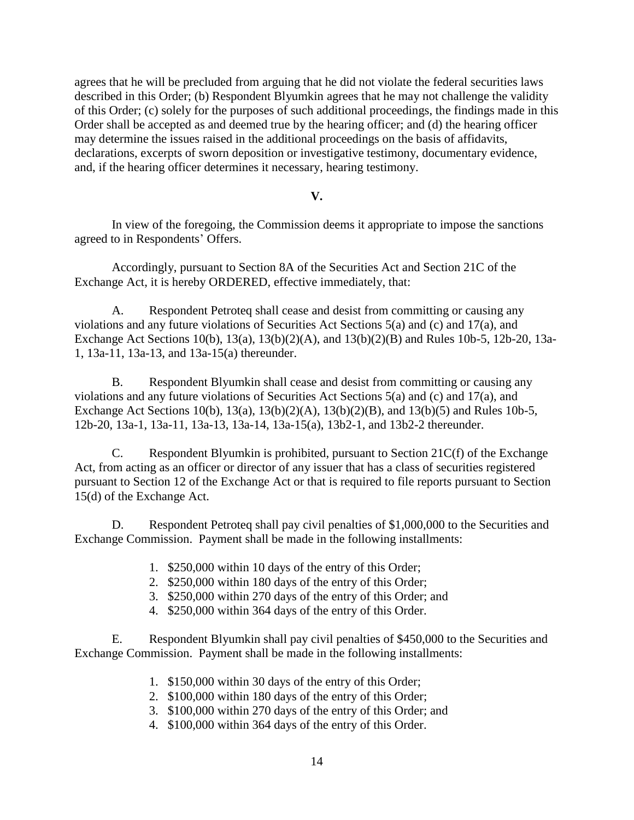agrees that he will be precluded from arguing that he did not violate the federal securities laws described in this Order; (b) Respondent Blyumkin agrees that he may not challenge the validity of this Order; (c) solely for the purposes of such additional proceedings, the findings made in this Order shall be accepted as and deemed true by the hearing officer; and (d) the hearing officer may determine the issues raised in the additional proceedings on the basis of affidavits, declarations, excerpts of sworn deposition or investigative testimony, documentary evidence, and, if the hearing officer determines it necessary, hearing testimony.

#### **V.**

In view of the foregoing, the Commission deems it appropriate to impose the sanctions agreed to in Respondents' Offers.

Accordingly, pursuant to Section 8A of the Securities Act and Section 21C of the Exchange Act, it is hereby ORDERED, effective immediately, that:

A. Respondent Petroteq shall cease and desist from committing or causing any violations and any future violations of Securities Act Sections 5(a) and (c) and 17(a), and Exchange Act Sections 10(b), 13(a), 13(b)(2)(A), and 13(b)(2)(B) and Rules 10b-5, 12b-20, 13a-1, 13a-11, 13a-13, and 13a-15(a) thereunder.

B. Respondent Blyumkin shall cease and desist from committing or causing any violations and any future violations of Securities Act Sections 5(a) and (c) and 17(a), and Exchange Act Sections 10(b), 13(a), 13(b)(2)(A), 13(b)(2)(B), and 13(b)(5) and Rules 10b-5, 12b-20, 13a-1, 13a-11, 13a-13, 13a-14, 13a-15(a), 13b2-1, and 13b2-2 thereunder.

C. Respondent Blyumkin is prohibited, pursuant to Section  $21C(f)$  of the Exchange Act, from acting as an officer or director of any issuer that has a class of securities registered pursuant to Section 12 of the Exchange Act or that is required to file reports pursuant to Section 15(d) of the Exchange Act.

D. Respondent Petroteq shall pay civil penalties of \$1,000,000 to the Securities and Exchange Commission. Payment shall be made in the following installments:

- 1. \$250,000 within 10 days of the entry of this Order;
- 2. \$250,000 within 180 days of the entry of this Order;
- 3. \$250,000 within 270 days of the entry of this Order; and
- 4. \$250,000 within 364 days of the entry of this Order.

E. Respondent Blyumkin shall pay civil penalties of \$450,000 to the Securities and Exchange Commission. Payment shall be made in the following installments:

- 1. \$150,000 within 30 days of the entry of this Order;
- 2. \$100,000 within 180 days of the entry of this Order;
- 3. \$100,000 within 270 days of the entry of this Order; and
- 4. \$100,000 within 364 days of the entry of this Order.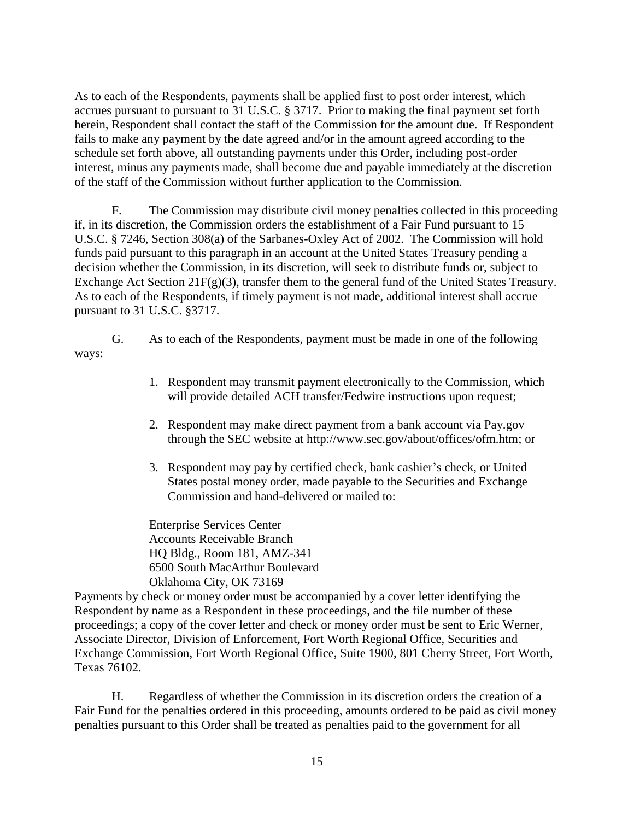As to each of the Respondents, payments shall be applied first to post order interest, which accrues pursuant to pursuant to 31 U.S.C. § 3717. Prior to making the final payment set forth herein, Respondent shall contact the staff of the Commission for the amount due. If Respondent fails to make any payment by the date agreed and/or in the amount agreed according to the schedule set forth above, all outstanding payments under this Order, including post-order interest, minus any payments made, shall become due and payable immediately at the discretion of the staff of the Commission without further application to the Commission.

F. The Commission may distribute civil money penalties collected in this proceeding if, in its discretion, the Commission orders the establishment of a Fair Fund pursuant to 15 U.S.C. § 7246, Section 308(a) of the Sarbanes-Oxley Act of 2002. The Commission will hold funds paid pursuant to this paragraph in an account at the United States Treasury pending a decision whether the Commission, in its discretion, will seek to distribute funds or, subject to Exchange Act Section 21F(g)(3), transfer them to the general fund of the United States Treasury. As to each of the Respondents, if timely payment is not made, additional interest shall accrue pursuant to 31 U.S.C. §3717.

- G. As to each of the Respondents, payment must be made in one of the following ways:
	- 1. Respondent may transmit payment electronically to the Commission, which will provide detailed ACH transfer/Fedwire instructions upon request;
	- 2. Respondent may make direct payment from a bank account via Pay.gov through the SEC website at [http://www.sec.gov/about/offices/ofm.htm;](http://www.sec.gov/about/offices/ofm.htm) or
	- 3. Respondent may pay by certified check, bank cashier's check, or United States postal money order, made payable to the Securities and Exchange Commission and hand-delivered or mailed to:

Enterprise Services Center Accounts Receivable Branch HQ Bldg., Room 181, AMZ-341 6500 South MacArthur Boulevard Oklahoma City, OK 73169

Payments by check or money order must be accompanied by a cover letter identifying the Respondent by name as a Respondent in these proceedings, and the file number of these proceedings; a copy of the cover letter and check or money order must be sent to Eric Werner, Associate Director, Division of Enforcement, Fort Worth Regional Office, Securities and Exchange Commission, Fort Worth Regional Office, Suite 1900, 801 Cherry Street, Fort Worth, Texas 76102.

H. Regardless of whether the Commission in its discretion orders the creation of a Fair Fund for the penalties ordered in this proceeding, amounts ordered to be paid as civil money penalties pursuant to this Order shall be treated as penalties paid to the government for all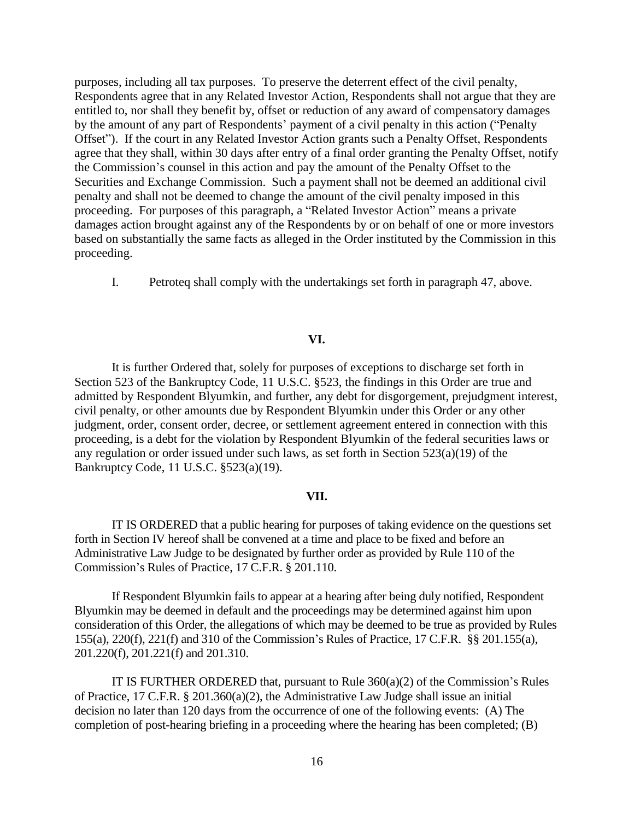purposes, including all tax purposes. To preserve the deterrent effect of the civil penalty, Respondents agree that in any Related Investor Action, Respondents shall not argue that they are entitled to, nor shall they benefit by, offset or reduction of any award of compensatory damages by the amount of any part of Respondents' payment of a civil penalty in this action ("Penalty Offset"). If the court in any Related Investor Action grants such a Penalty Offset, Respondents agree that they shall, within 30 days after entry of a final order granting the Penalty Offset, notify the Commission's counsel in this action and pay the amount of the Penalty Offset to the Securities and Exchange Commission. Such a payment shall not be deemed an additional civil penalty and shall not be deemed to change the amount of the civil penalty imposed in this proceeding. For purposes of this paragraph, a "Related Investor Action" means a private damages action brought against any of the Respondents by or on behalf of one or more investors based on substantially the same facts as alleged in the Order instituted by the Commission in this proceeding.

I. Petroteq shall comply with the undertakings set forth in paragraph 47, above.

#### **VI.**

It is further Ordered that, solely for purposes of exceptions to discharge set forth in Section 523 of the Bankruptcy Code, 11 U.S.C. §523, the findings in this Order are true and admitted by Respondent Blyumkin, and further, any debt for disgorgement, prejudgment interest, civil penalty, or other amounts due by Respondent Blyumkin under this Order or any other judgment, order, consent order, decree, or settlement agreement entered in connection with this proceeding, is a debt for the violation by Respondent Blyumkin of the federal securities laws or any regulation or order issued under such laws, as set forth in Section 523(a)(19) of the Bankruptcy Code, 11 U.S.C. §523(a)(19).

#### **VII.**

IT IS ORDERED that a public hearing for purposes of taking evidence on the questions set forth in Section IV hereof shall be convened at a time and place to be fixed and before an Administrative Law Judge to be designated by further order as provided by Rule 110 of the Commission's Rules of Practice, 17 C.F.R. § 201.110.

If Respondent Blyumkin fails to appear at a hearing after being duly notified, Respondent Blyumkin may be deemed in default and the proceedings may be determined against him upon consideration of this Order, the allegations of which may be deemed to be true as provided by Rules 155(a), 220(f), 221(f) and 310 of the Commission's Rules of Practice, 17 C.F.R. §§ 201.155(a), 201.220(f), 201.221(f) and 201.310.

IT IS FURTHER ORDERED that, pursuant to Rule 360(a)(2) of the Commission's Rules of Practice, 17 C.F.R. § 201.360(a)(2), the Administrative Law Judge shall issue an initial decision no later than 120 days from the occurrence of one of the following events: (A) The completion of post-hearing briefing in a proceeding where the hearing has been completed; (B)